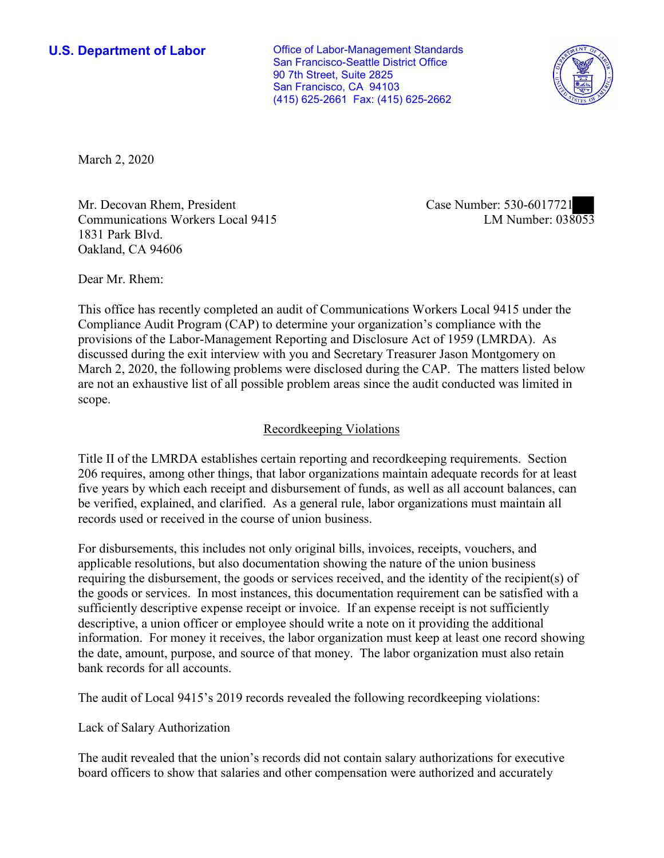**U.S. Department of Labor Conservative Conservative Conservative Conservative U.S.** Department of Labor San Francisco-Seattle District Office 90 7th Street, Suite 2825 San Francisco, CA 94103 (415) 625-2661 Fax: (415) 625-2662



March 2, 2020

Mr. Decovan Rhem, President Case Number: 530-6017721 Communications Workers Local 9415 1831 Park Blvd. Oakland, CA 94606

LM Number:  $038053$ 

Dear Mr. Rhem:

 This office has recently completed an audit of Communications Workers Local 9415 under the Compliance Audit Program (CAP) to determine your organization's compliance with the provisions of the Labor-Management Reporting and Disclosure Act of 1959 (LMRDA). As discussed during the exit interview with you and Secretary Treasurer Jason Montgomery on March 2, 2020, the following problems were disclosed during the CAP. The matters listed below are not an exhaustive list of all possible problem areas since the audit conducted was limited in scope.

## Recordkeeping Violations

 Title II of the LMRDA establishes certain reporting and recordkeeping requirements. Section 206 requires, among other things, that labor organizations maintain adequate records for at least five years by which each receipt and disbursement of funds, as well as all account balances, can be verified, explained, and clarified. As a general rule, labor organizations must maintain all records used or received in the course of union business.

For disbursements, this includes not only original bills, invoices, receipts, vouchers, and applicable resolutions, but also documentation showing the nature of the union business requiring the disbursement, the goods or services received, and the identity of the recipient(s) of the goods or services. In most instances, this documentation requirement can be satisfied with a sufficiently descriptive expense receipt or invoice. If an expense receipt is not sufficiently descriptive, a union officer or employee should write a note on it providing the additional information. For money it receives, the labor organization must keep at least one record showing the date, amount, purpose, and source of that money. The labor organization must also retain bank records for all accounts.

The audit of Local 9415's 2019 records revealed the following recordkeeping violations:

Lack of Salary Authorization

The audit revealed that the union's records did not contain salary authorizations for executive board officers to show that salaries and other compensation were authorized and accurately